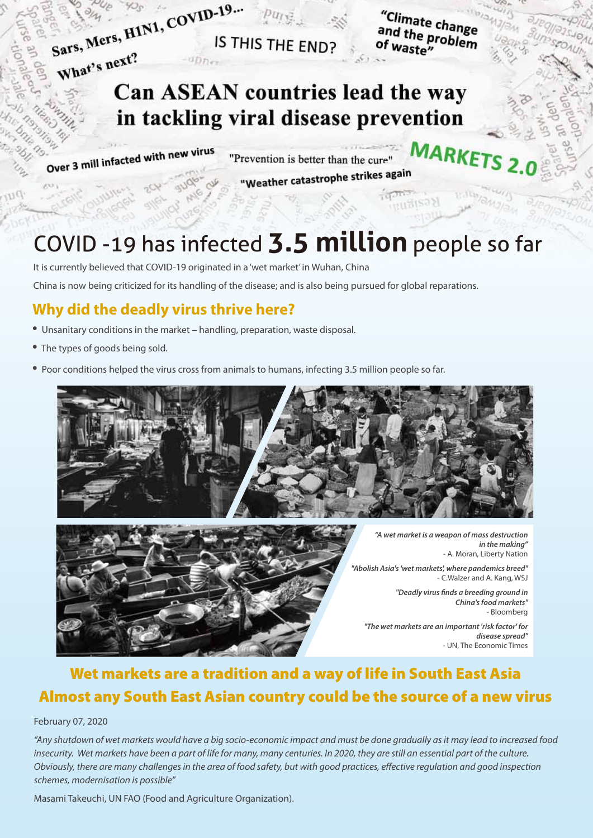

IS THIS THE END?

"Climate change<br><sup>and</sup> the profile and the problem<br>of waste" of waste"

**MARKET** 

 $533$ 

## Can ASEAN countries lead the way in tackling viral disease prevention

Over 3 mill infacted with new virus

"Prevention is better than the cure"

## "Weather catastrophe strikes again

# COVID -19 has infected **3.5 million** people so far

It is currently believed that COVID-19 originated in a 'wet market' in Wuhan, China

China is now being criticized for its handling of the disease; and is also being pursued for global reparations.

### **Why did the deadly virus thrive here?**

- Unsanitary conditions in the market handling, preparation, waste disposal.
- The types of goods being sold.
- Poor conditions helped the virus cross from animals to humans, infecting 3.5 million people so far.





*"A wet market is a weapon of mass destruction in the making"* - A. Moran, Liberty Nation

*"Abolish Asia's 'wet markets', where pandemics breed"* - C.Walzer and A. Kang, WSJ

> *"Deadly virus finds a breeding ground in China's food markets"* - Bloomberg

*"The wet markets are an important 'risk factor' for disease spread"* - UN, The Economic Times

## Wet markets are a tradition and a way of life in South East Asia Almost any South East Asian country could be the source of a new virus

#### February 07, 2020

*"Any shutdown of wet markets would have a big socio-economic impact and must be done gradually as it may lead to increased food insecurity. Wet markets have been a part of life for many, many centuries. In 2020, they are still an essential part of the culture. Obviously, there are many challenges in the area of food safety, but with good practices, effective regulation and good inspection schemes, modernisation is possible"* 

Masami Takeuchi, UN FAO (Food and Agriculture Organization).